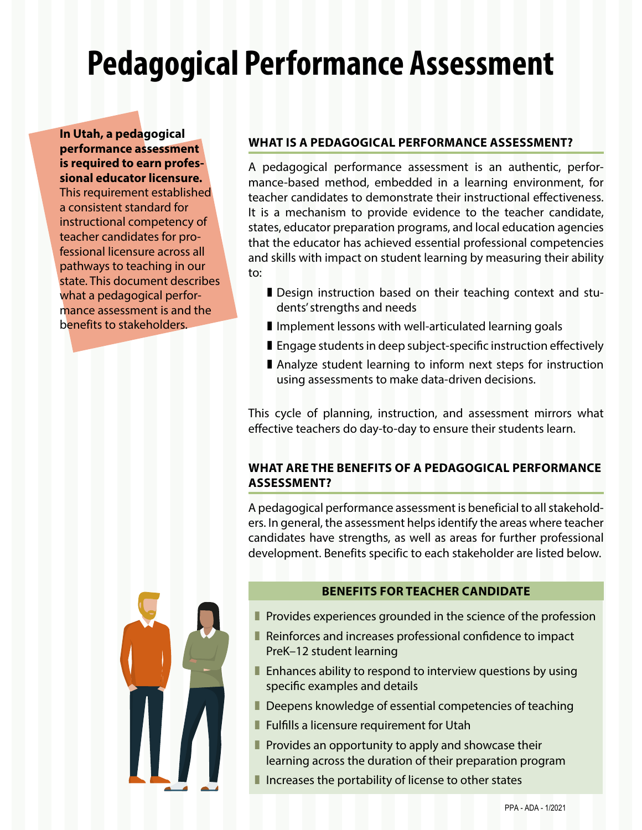# **Pedagogical Performance Assessment**

**In Utah, a pedagogical performance assessment is required to earn professional educator licensure.**  This requirement established a consistent standard for instructional competency of teacher candidates for professional licensure across all pathways to teaching in our state. This document describes what a pedagogical performance assessment is and the benefits to stakeholders.

### **WHAT IS A PEDAGOGICAL PERFORMANCE ASSESSMENT?**

A pedagogical performance assessment is an authentic, performance-based method, embedded in a learning environment, for teacher candidates to demonstrate their instructional effectiveness. It is a mechanism to provide evidence to the teacher candidate, states, educator preparation programs, and local education agencies that the educator has achieved essential professional competencies and skills with impact on student learning by measuring their ability to:

- **I** Design instruction based on their teaching context and students' strengths and needs
- **I** Implement lessons with well-articulated learning goals
- **Engage students in deep subject-specific instruction effectively**
- ] Analyze student learning to inform next steps for instruction using assessments to make data-driven decisions.

This cycle of planning, instruction, and assessment mirrors what effective teachers do day-to-day to ensure their students learn.

#### **WHAT ARE THE BENEFITS OF A PEDAGOGICAL PERFORMANCE ASSESSMENT?**

A pedagogical performance assessment is beneficial to all stakeholders. In general, the assessment helps identify the areas where teacher candidates have strengths, as well as areas for further professional development. Benefits specific to each stakeholder are listed below.



- **Provides experiences grounded in the science of the profession**
- **Reinforces and increases professional confidence to impact** PreK–12 student learning
- **Enhances ability to respond to interview questions by using** specific examples and details
- Deepens knowledge of essential competencies of teaching
- **Fulfills a licensure requirement for Utah**
- **Provides an opportunity to apply and showcase their** learning across the duration of their preparation program
- $\blacksquare$  Increases the portability of license to other states